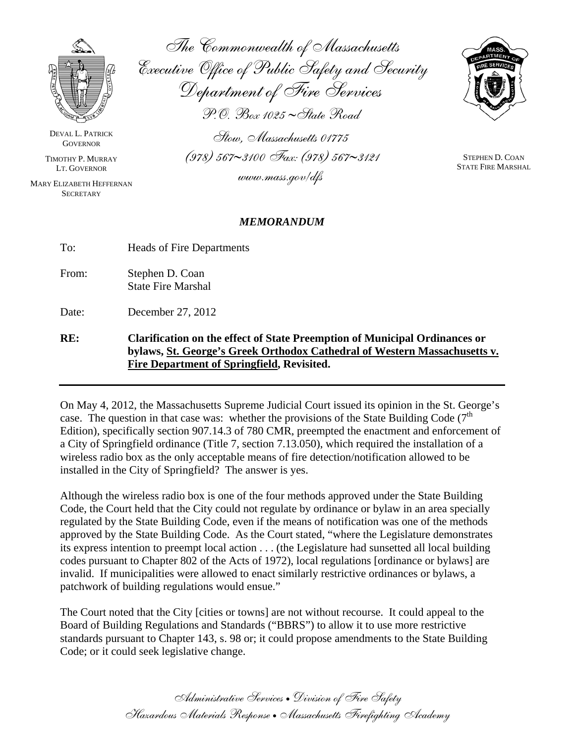

DEVAL L. PATRICK **GOVERNOR** 

TIMOTHY P. MURRAY LT. GOVERNOR

MARY ELIZABETH HEFFERNAN **SECRETARY** 

The Commonwealth of Massachusetts Executive Office of Public Safety and Security Department of Fire Services P.O. Box 1025 ∼State Road

Stow, Massachusetts 01775 (978) 567∼3100 Fax: (978) 567∼3121

www.mass.gov/dfs



STEPHEN D. COAN STATE FIRE MARSHAL

## *MEMORANDUM*

| To:<br>Heads of Fire Departments |  |
|----------------------------------|--|
|----------------------------------|--|

From: Stephen D. Coan State Fire Marshal

Date: December 27, 2012

**RE: Clarification on the effect of State Preemption of Municipal Ordinances or bylaws, St. George's Greek Orthodox Cathedral of Western Massachusetts v. Fire Department of Springfield, Revisited.** 

On May 4, 2012, the Massachusetts Supreme Judicial Court issued its opinion in the St. George's case. The question in that case was: whether the provisions of the State Building Code  $(7<sup>th</sup>$ Edition), specifically section 907.14.3 of 780 CMR, preempted the enactment and enforcement of a City of Springfield ordinance (Title 7, section 7.13.050), which required the installation of a wireless radio box as the only acceptable means of fire detection/notification allowed to be installed in the City of Springfield? The answer is yes.

Although the wireless radio box is one of the four methods approved under the State Building Code, the Court held that the City could not regulate by ordinance or bylaw in an area specially regulated by the State Building Code, even if the means of notification was one of the methods approved by the State Building Code. As the Court stated, "where the Legislature demonstrates its express intention to preempt local action . . . (the Legislature had sunsetted all local building codes pursuant to Chapter 802 of the Acts of 1972), local regulations [ordinance or bylaws] are invalid. If municipalities were allowed to enact similarly restrictive ordinances or bylaws, a patchwork of building regulations would ensue."

The Court noted that the City [cities or towns] are not without recourse. It could appeal to the Board of Building Regulations and Standards ("BBRS") to allow it to use more restrictive standards pursuant to Chapter 143, s. 98 or; it could propose amendments to the State Building Code; or it could seek legislative change.

> Administrative Services • Division of Fire Safety Hazardous Materials Response • Massachusetts Firefighting Academy